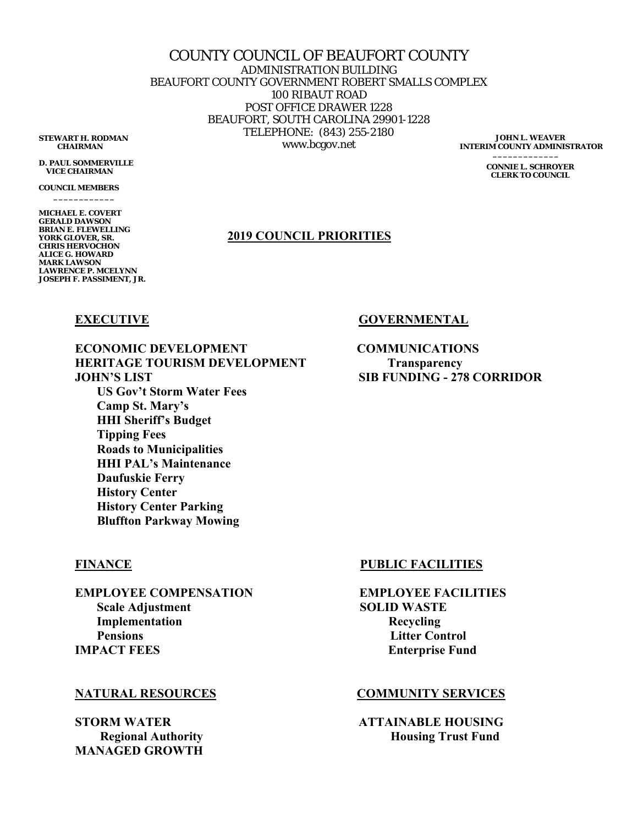COUNTY COUNCIL OF BEAUFORT COUNTY ADMINISTRATION BUILDING BEAUFORT COUNTY GOVERNMENT ROBERT SMALLS COMPLEX 100 RIBAUT ROAD POST OFFICE DRAWER 1228 BEAUFORT, SOUTH CAROLINA 29901-1228 TELEPHONE: (843) 255-2180 **STEWART H. RODMAN**<br>CHAIRMAN WWW.bcgov.net

**JOHN L. WEAVER INTERIM COUNTY ADMINISTRATOR** 

> **CONNIE L. SCHROYER CLERK TO COUNCIL**

## **2019 COUNCIL PRIORITIES**

**ECONOMIC DEVELOPMENT COMMUNICATIONS HERITAGE TOURISM DEVELOPMENT Transparency JOHN'S LIST SIB FUNDING - 278 CORRIDOR US Gov't Storm Water Fees Camp St. Mary's HHI Sheriff's Budget Tipping Fees Roads to Municipalities HHI PAL's Maintenance Daufuskie Ferry History Center History Center Parking** 

**EMPLOYEE COMPENSATION EMPLOYEE FACILITIES Scale Adjustment** SOLID WASTE **Implementation** Recycling **Pensions Control 2008**  *Pensions* **Litter Control IMPACT FEES** Enterprise Fund

**MANAGED GROWTH** 

## **FINANCE** PUBLIC FACILITIES

## **NATURAL RESOURCES COMMUNITY SERVICES**

**STORM WATER ATTAINABLE HOUSING Regional Authority**  The **Housing Trust Fund Housing Trust Fund** 

# **EXECUTIVE** GOVERNMENTAL

 **Bluffton Parkway Mowing** 

 **CHAIRMAN** 

**D. PAUL SOMMERVILLE VICE CHAIRMAN** 

**COUNCIL MEMBERS \_\_\_\_\_\_\_\_\_\_\_\_** 

**MICHAEL E. COVERT GERALD DAWSON BRIAN E. FLEWELLING YORK GLOVER, SR. CHRIS HERVOCHON ALICE G. HOWARD MARK LAWSON LAWRENCE P. MCELYNN JOSEPH F. PASSIMENT, JR.**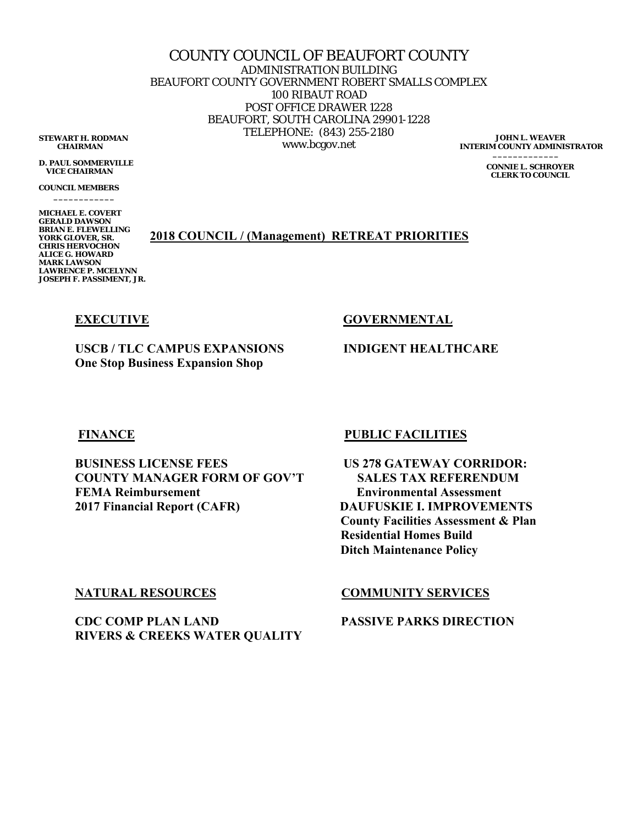COUNTY COUNCIL OF BEAUFORT COUNTY ADMINISTRATION BUILDING BEAUFORT COUNTY GOVERNMENT ROBERT SMALLS COMPLEX 100 RIBAUT ROAD POST OFFICE DRAWER 1228 BEAUFORT, SOUTH CAROLINA 29901-1228 TELEPHONE: (843) 255-2180 **STEWART H. RODMAN**<br>CHAIRMAN WWW.bcgov.net **INTERIM COUNTY ADMINISTRATOR** 

 **CHAIRMAN** 

**D. PAUL SOMMERVILLE VICE CHAIRMAN** 

**COUNCIL MEMBERS \_\_\_\_\_\_\_\_\_\_\_\_** 

**MICHAEL E. COVERT GERALD DAWSON BRIAN E. FLEWELLING YORK GLOVER, SR. CHRIS HERVOCHON ALICE G. HOWARD MARK LAWSON LAWRENCE P. MCELYNN JOSEPH F. PASSIMENT, JR.** 

**2018 COUNCIL / (Management) RETREAT PRIORITIES** 

**EXECUTIVE** GOVERNMENTAL

**USCB / TLC CAMPUS EXPANSIONS INDIGENT HEALTHCARE One Stop Business Expansion Shop** 

**JOHN L. WEAVER** 

**CONNIE L. SCHROYER CLERK TO COUNCIL** 

**BUSINESS LICENSE FEES US 278 GATEWAY CORRIDOR: COUNTY MANAGER FORM OF GOV'T SALES TAX REFERENDUM FEMA Reimbursement Environmental Assessment 2017 Financial Report (CAFR) DAUFUSKIE I. IMPROVEMENTS** 

# **FINANCE PUBLIC FACILITIES**

 **County Facilities Assessment & Plan Residential Homes Build Ditch Maintenance Policy** 

**CDC COMP PLAN LAND PASSIVE PARKS DIRECTION RIVERS & CREEKS WATER QUALITY** 

# **NATURAL RESOURCES COMMUNITY SERVICES**